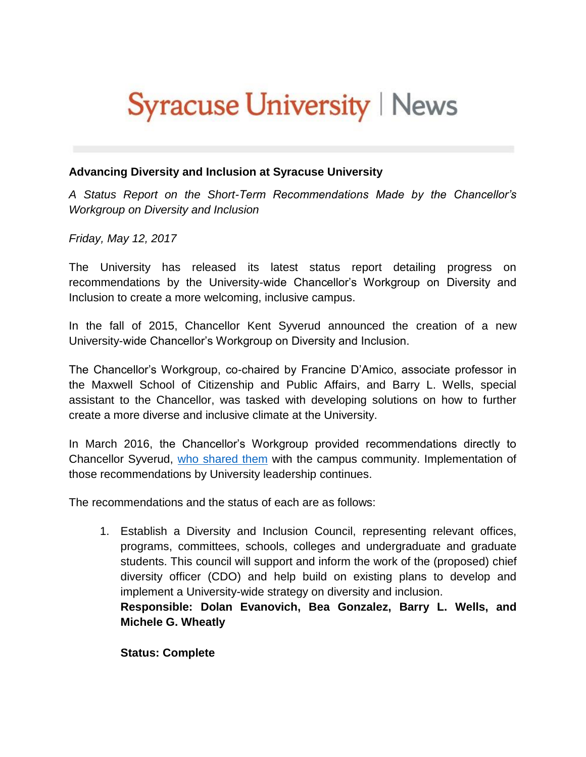# **Syracuse University | News**

#### **Advancing Diversity and Inclusion at Syracuse University**

*A Status Report on the Short-Term Recommendations Made by the Chancellor's Workgroup on Diversity and Inclusion*

*Friday, May 12, 2017*

The University has released its latest status report detailing progress on recommendations by the University-wide Chancellor's Workgroup on Diversity and Inclusion to create a more welcoming, inclusive campus.

In the fall of 2015, Chancellor Kent Syverud announced the creation of a new University-wide Chancellor's Workgroup on Diversity and Inclusion.

The Chancellor's Workgroup, co-chaired by Francine D'Amico, associate professor in the Maxwell School of Citizenship and Public Affairs, and Barry L. Wells, special assistant to the Chancellor, was tasked with developing solutions on how to further create a more diverse and inclusive climate at the University.

In March 2016, the Chancellor's Workgroup provided recommendations directly to Chancellor Syverud, [who shared them](https://news.syr.edu/chancellors-workgroup-on-diversity-inclusion-report-shared-with-the-university-community-35037/) with the campus community. Implementation of those recommendations by University leadership continues.

The recommendations and the status of each are as follows:

1. Establish a Diversity and Inclusion Council, representing relevant offices, programs, committees, schools, colleges and undergraduate and graduate students. This council will support and inform the work of the (proposed) chief diversity officer (CDO) and help build on existing plans to develop and implement a University-wide strategy on diversity and inclusion.

**Responsible: Dolan Evanovich, Bea Gonzalez, Barry L. Wells, and Michele G. Wheatly**

**Status: Complete**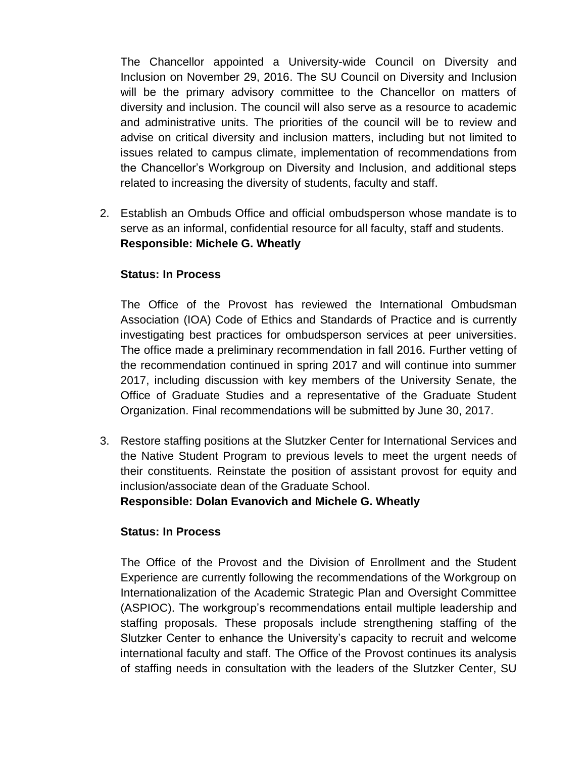The Chancellor appointed a University-wide Council on Diversity and Inclusion on November 29, 2016. The SU Council on Diversity and Inclusion will be the primary advisory committee to the Chancellor on matters of diversity and inclusion. The council will also serve as a resource to academic and administrative units. The priorities of the council will be to review and advise on critical diversity and inclusion matters, including but not limited to issues related to campus climate, implementation of recommendations from the Chancellor's Workgroup on Diversity and Inclusion, and additional steps related to increasing the diversity of students, faculty and staff.

2. Establish an Ombuds Office and official ombudsperson whose mandate is to serve as an informal, confidential resource for all faculty, staff and students. **Responsible: Michele G. Wheatly**

### **Status: In Process**

The Office of the Provost has reviewed the International Ombudsman Association (IOA) Code of Ethics and Standards of Practice and is currently investigating best practices for ombudsperson services at peer universities. The office made a preliminary recommendation in fall 2016. Further vetting of the recommendation continued in spring 2017 and will continue into summer 2017, including discussion with key members of the University Senate, the Office of Graduate Studies and a representative of the Graduate Student Organization. Final recommendations will be submitted by June 30, 2017.

3. Restore staffing positions at the Slutzker Center for International Services and the Native Student Program to previous levels to meet the urgent needs of their constituents. Reinstate the position of assistant provost for equity and inclusion/associate dean of the Graduate School.

**Responsible: Dolan Evanovich and Michele G. Wheatly**

## **Status: In Process**

The Office of the Provost and the Division of Enrollment and the Student Experience are currently following the recommendations of the Workgroup on Internationalization of the Academic Strategic Plan and Oversight Committee (ASPIOC). The workgroup's recommendations entail multiple leadership and staffing proposals. These proposals include strengthening staffing of the Slutzker Center to enhance the University's capacity to recruit and welcome international faculty and staff. The Office of the Provost continues its analysis of staffing needs in consultation with the leaders of the Slutzker Center, SU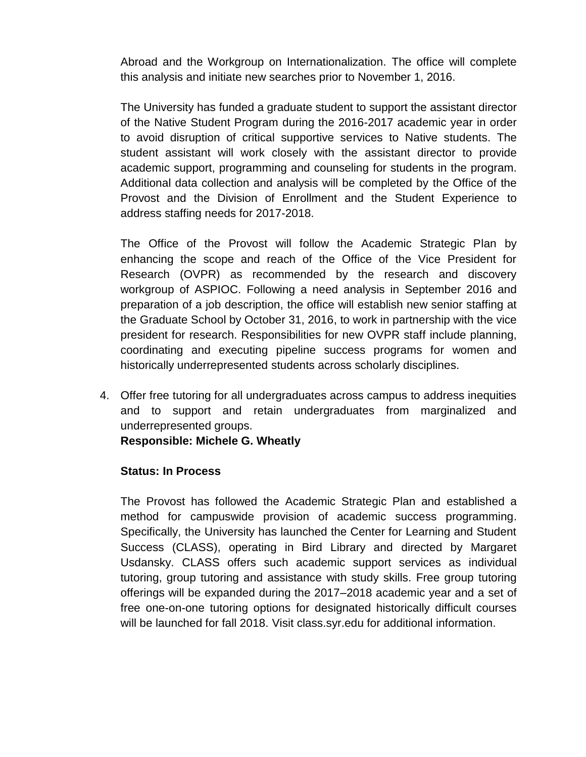Abroad and the Workgroup on Internationalization. The office will complete this analysis and initiate new searches prior to November 1, 2016.

The University has funded a graduate student to support the assistant director of the Native Student Program during the 2016-2017 academic year in order to avoid disruption of critical supportive services to Native students. The student assistant will work closely with the assistant director to provide academic support, programming and counseling for students in the program. Additional data collection and analysis will be completed by the Office of the Provost and the Division of Enrollment and the Student Experience to address staffing needs for 2017-2018.

The Office of the Provost will follow the Academic Strategic Plan by enhancing the scope and reach of the Office of the Vice President for Research (OVPR) as recommended by the research and discovery workgroup of ASPIOC. Following a need analysis in September 2016 and preparation of a job description, the office will establish new senior staffing at the Graduate School by October 31, 2016, to work in partnership with the vice president for research. Responsibilities for new OVPR staff include planning, coordinating and executing pipeline success programs for women and historically underrepresented students across scholarly disciplines.

4. Offer free tutoring for all undergraduates across campus to address inequities and to support and retain undergraduates from marginalized and underrepresented groups.

**Responsible: Michele G. Wheatly**

### **Status: In Process**

The Provost has followed the Academic Strategic Plan and established a method for campuswide provision of academic success programming. Specifically, the University has launched the Center for Learning and Student Success (CLASS), operating in Bird Library and directed by Margaret Usdansky. CLASS offers such academic support services as individual tutoring, group tutoring and assistance with study skills. Free group tutoring offerings will be expanded during the 2017–2018 academic year and a set of free one-on-one tutoring options for designated historically difficult courses will be launched for fall 2018. Visit class.syr.edu for additional information.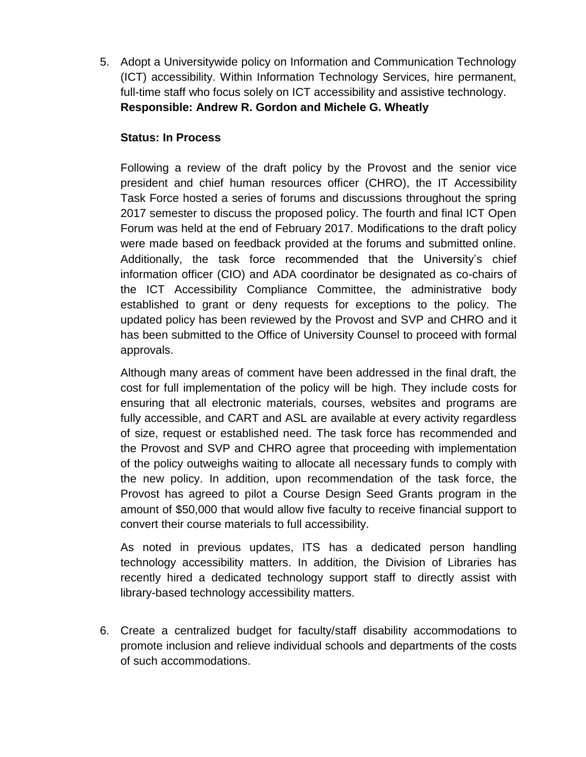5. Adopt a Universitywide policy on Information and Communication Technology (ICT) accessibility. Within Information Technology Services, hire permanent, full-time staff who focus solely on ICT accessibility and assistive technology. **Responsible: Andrew R. Gordon and Michele G. Wheatly**

## **Status: In Process**

Following a review of the draft policy by the Provost and the senior vice president and chief human resources officer (CHRO), the IT Accessibility Task Force hosted a series of forums and discussions throughout the spring 2017 semester to discuss the proposed policy. The fourth and final ICT Open Forum was held at the end of February 2017. Modifications to the draft policy were made based on feedback provided at the forums and submitted online. Additionally, the task force recommended that the University's chief information officer (CIO) and ADA coordinator be designated as co-chairs of the ICT Accessibility Compliance Committee, the administrative body established to grant or deny requests for exceptions to the policy. The updated policy has been reviewed by the Provost and SVP and CHRO and it has been submitted to the Office of University Counsel to proceed with formal approvals.

Although many areas of comment have been addressed in the final draft, the cost for full implementation of the policy will be high. They include costs for ensuring that all electronic materials, courses, websites and programs are fully accessible, and CART and ASL are available at every activity regardless of size, request or established need. The task force has recommended and the Provost and SVP and CHRO agree that proceeding with implementation of the policy outweighs waiting to allocate all necessary funds to comply with the new policy. In addition, upon recommendation of the task force, the Provost has agreed to pilot a Course Design Seed Grants program in the amount of \$50,000 that would allow five faculty to receive financial support to convert their course materials to full accessibility.

As noted in previous updates, ITS has a dedicated person handling technology accessibility matters. In addition, the Division of Libraries has recently hired a dedicated technology support staff to directly assist with library-based technology accessibility matters.

6. Create a centralized budget for faculty/staff disability accommodations to promote inclusion and relieve individual schools and departments of the costs of such accommodations.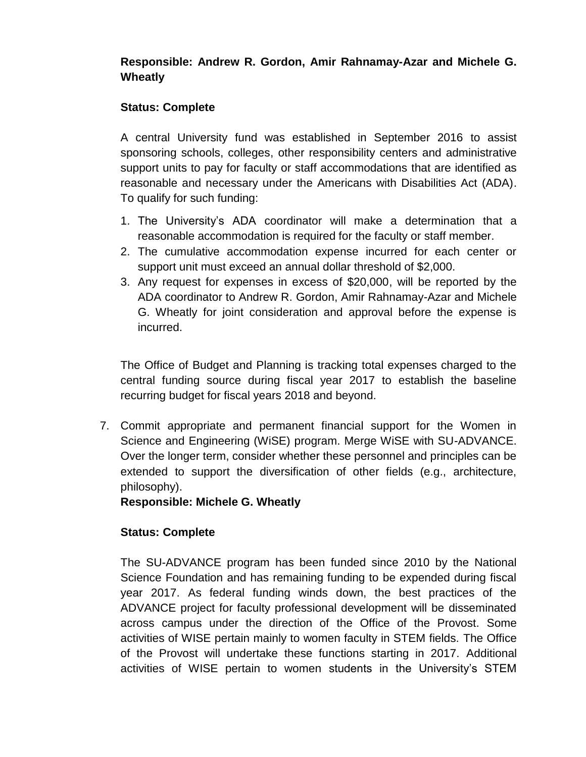## **Responsible: Andrew R. Gordon, Amir Rahnamay-Azar and Michele G. Wheatly**

## **Status: Complete**

A central University fund was established in September 2016 to assist sponsoring schools, colleges, other responsibility centers and administrative support units to pay for faculty or staff accommodations that are identified as reasonable and necessary under the Americans with Disabilities Act (ADA). To qualify for such funding:

- 1. The University's ADA coordinator will make a determination that a reasonable accommodation is required for the faculty or staff member.
- 2. The cumulative accommodation expense incurred for each center or support unit must exceed an annual dollar threshold of \$2,000.
- 3. Any request for expenses in excess of \$20,000, will be reported by the ADA coordinator to Andrew R. Gordon, Amir Rahnamay-Azar and Michele G. Wheatly for joint consideration and approval before the expense is incurred.

The Office of Budget and Planning is tracking total expenses charged to the central funding source during fiscal year 2017 to establish the baseline recurring budget for fiscal years 2018 and beyond.

7. Commit appropriate and permanent financial support for the Women in Science and Engineering (WiSE) program. Merge WiSE with SU-ADVANCE. Over the longer term, consider whether these personnel and principles can be extended to support the diversification of other fields (e.g., architecture, philosophy).

**Responsible: Michele G. Wheatly**

## **Status: Complete**

The SU-ADVANCE program has been funded since 2010 by the National Science Foundation and has remaining funding to be expended during fiscal year 2017. As federal funding winds down, the best practices of the ADVANCE project for faculty professional development will be disseminated across campus under the direction of the Office of the Provost. Some activities of WISE pertain mainly to women faculty in STEM fields. The Office of the Provost will undertake these functions starting in 2017. Additional activities of WISE pertain to women students in the University's STEM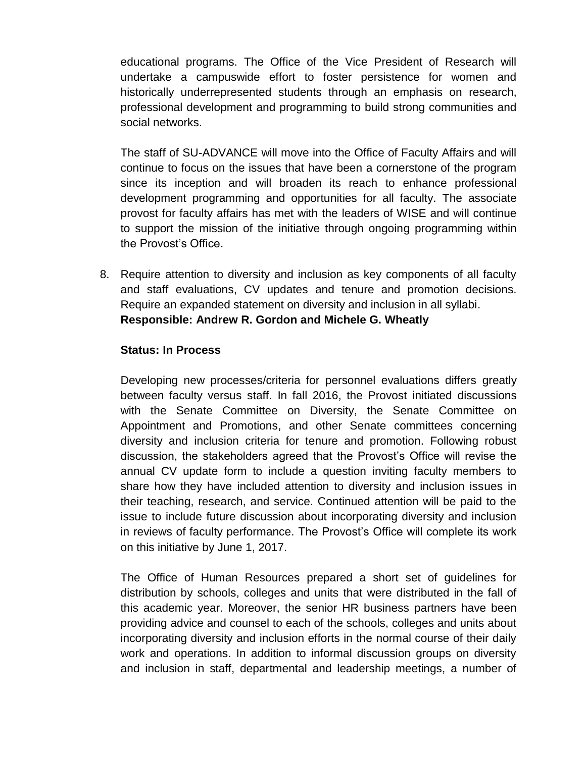educational programs. The Office of the Vice President of Research will undertake a campuswide effort to foster persistence for women and historically underrepresented students through an emphasis on research, professional development and programming to build strong communities and social networks.

The staff of SU-ADVANCE will move into the Office of Faculty Affairs and will continue to focus on the issues that have been a cornerstone of the program since its inception and will broaden its reach to enhance professional development programming and opportunities for all faculty. The associate provost for faculty affairs has met with the leaders of WISE and will continue to support the mission of the initiative through ongoing programming within the Provost's Office.

8. Require attention to diversity and inclusion as key components of all faculty and staff evaluations, CV updates and tenure and promotion decisions. Require an expanded statement on diversity and inclusion in all syllabi. **Responsible: Andrew R. Gordon and Michele G. Wheatly**

#### **Status: In Process**

Developing new processes/criteria for personnel evaluations differs greatly between faculty versus staff. In fall 2016, the Provost initiated discussions with the Senate Committee on Diversity, the Senate Committee on Appointment and Promotions, and other Senate committees concerning diversity and inclusion criteria for tenure and promotion. Following robust discussion, the stakeholders agreed that the Provost's Office will revise the annual CV update form to include a question inviting faculty members to share how they have included attention to diversity and inclusion issues in their teaching, research, and service. Continued attention will be paid to the issue to include future discussion about incorporating diversity and inclusion in reviews of faculty performance. The Provost's Office will complete its work on this initiative by June 1, 2017.

The Office of Human Resources prepared a short set of guidelines for distribution by schools, colleges and units that were distributed in the fall of this academic year. Moreover, the senior HR business partners have been providing advice and counsel to each of the schools, colleges and units about incorporating diversity and inclusion efforts in the normal course of their daily work and operations. In addition to informal discussion groups on diversity and inclusion in staff, departmental and leadership meetings, a number of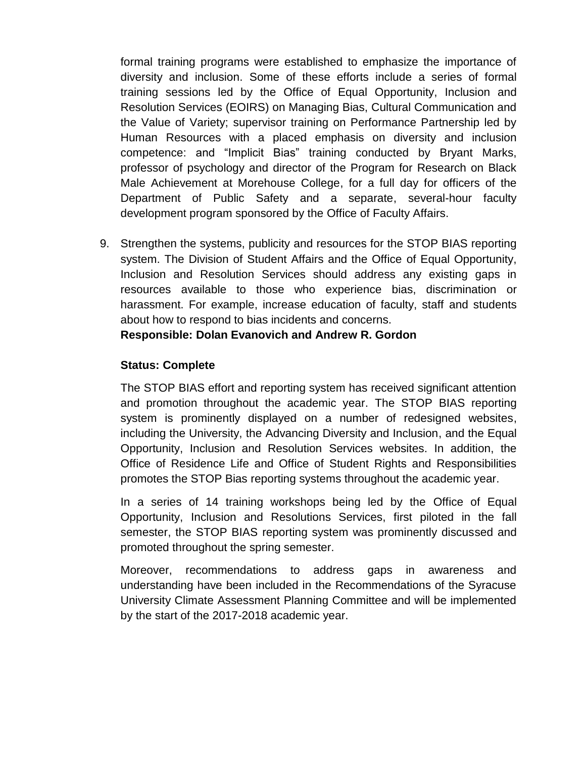formal training programs were established to emphasize the importance of diversity and inclusion. Some of these efforts include a series of formal training sessions led by the Office of Equal Opportunity, Inclusion and Resolution Services (EOIRS) on Managing Bias, Cultural Communication and the Value of Variety; supervisor training on Performance Partnership led by Human Resources with a placed emphasis on diversity and inclusion competence: and "Implicit Bias" training conducted by Bryant Marks, professor of psychology and director of the Program for Research on Black Male Achievement at Morehouse College, for a full day for officers of the Department of Public Safety and a separate, several-hour faculty development program sponsored by the Office of Faculty Affairs.

9. Strengthen the systems, publicity and resources for the STOP BIAS reporting system. The Division of Student Affairs and the Office of Equal Opportunity, Inclusion and Resolution Services should address any existing gaps in resources available to those who experience bias, discrimination or harassment. For example, increase education of faculty, staff and students about how to respond to bias incidents and concerns.

**Responsible: Dolan Evanovich and Andrew R. Gordon**

## **Status: Complete**

The STOP BIAS effort and reporting system has received significant attention and promotion throughout the academic year. The STOP BIAS reporting system is prominently displayed on a number of redesigned websites, including the University, the Advancing Diversity and Inclusion, and the Equal Opportunity, Inclusion and Resolution Services websites. In addition, the Office of Residence Life and Office of Student Rights and Responsibilities promotes the STOP Bias reporting systems throughout the academic year.

In a series of 14 training workshops being led by the Office of Equal Opportunity, Inclusion and Resolutions Services, first piloted in the fall semester, the STOP BIAS reporting system was prominently discussed and promoted throughout the spring semester.

Moreover, recommendations to address gaps in awareness and understanding have been included in the Recommendations of the Syracuse University Climate Assessment Planning Committee and will be implemented by the start of the 2017-2018 academic year.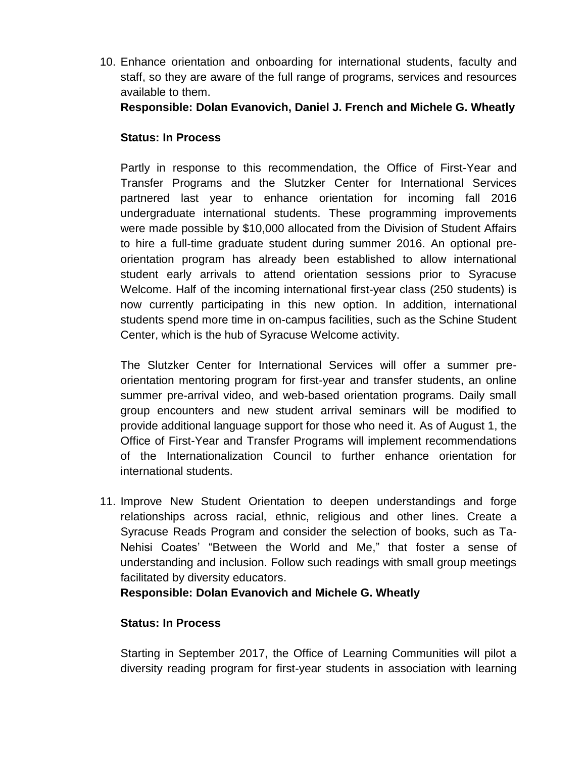10. Enhance orientation and onboarding for international students, faculty and staff, so they are aware of the full range of programs, services and resources available to them.

**Responsible: Dolan Evanovich, Daniel J. French and Michele G. Wheatly**

## **Status: In Process**

Partly in response to this recommendation, the Office of First-Year and Transfer Programs and the Slutzker Center for International Services partnered last year to enhance orientation for incoming fall 2016 undergraduate international students. These programming improvements were made possible by \$10,000 allocated from the Division of Student Affairs to hire a full-time graduate student during summer 2016. An optional preorientation program has already been established to allow international student early arrivals to attend orientation sessions prior to Syracuse Welcome. Half of the incoming international first-year class (250 students) is now currently participating in this new option. In addition, international students spend more time in on-campus facilities, such as the Schine Student Center, which is the hub of Syracuse Welcome activity.

The Slutzker Center for International Services will offer a summer preorientation mentoring program for first-year and transfer students, an online summer pre-arrival video, and web-based orientation programs. Daily small group encounters and new student arrival seminars will be modified to provide additional language support for those who need it. As of August 1, the Office of First-Year and Transfer Programs will implement recommendations of the Internationalization Council to further enhance orientation for international students.

11. Improve New Student Orientation to deepen understandings and forge relationships across racial, ethnic, religious and other lines. Create a Syracuse Reads Program and consider the selection of books, such as Ta-Nehisi Coates' "Between the World and Me," that foster a sense of understanding and inclusion. Follow such readings with small group meetings facilitated by diversity educators.

**Responsible: Dolan Evanovich and Michele G. Wheatly**

## **Status: In Process**

Starting in September 2017, the Office of Learning Communities will pilot a diversity reading program for first-year students in association with learning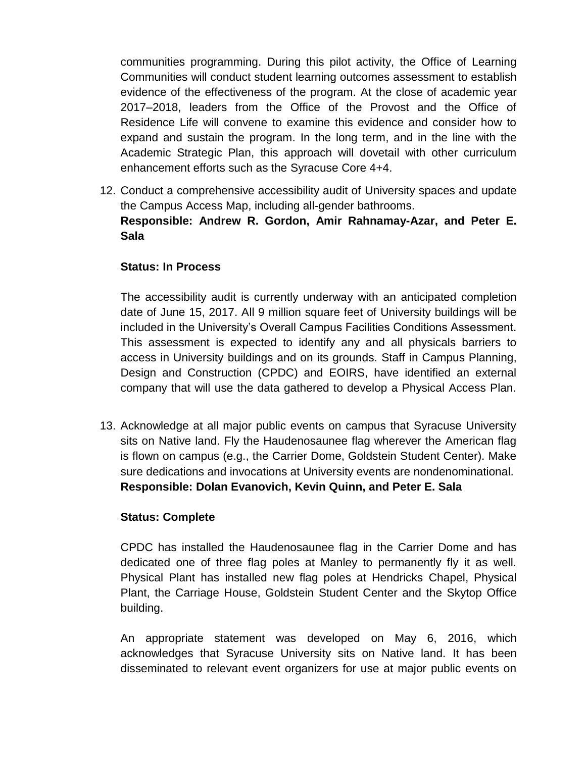communities programming. During this pilot activity, the Office of Learning Communities will conduct student learning outcomes assessment to establish evidence of the effectiveness of the program. At the close of academic year 2017–2018, leaders from the Office of the Provost and the Office of Residence Life will convene to examine this evidence and consider how to expand and sustain the program. In the long term, and in the line with the Academic Strategic Plan, this approach will dovetail with other curriculum enhancement efforts such as the Syracuse Core 4+4.

12. Conduct a comprehensive accessibility audit of University spaces and update the Campus Access Map, including all-gender bathrooms. **Responsible: Andrew R. Gordon, Amir Rahnamay-Azar, and Peter E. Sala**

### **Status: In Process**

The accessibility audit is currently underway with an anticipated completion date of June 15, 2017. All 9 million square feet of University buildings will be included in the University's Overall Campus Facilities Conditions Assessment. This assessment is expected to identify any and all physicals barriers to access in University buildings and on its grounds. Staff in Campus Planning, Design and Construction (CPDC) and EOIRS, have identified an external company that will use the data gathered to develop a Physical Access Plan.

13. Acknowledge at all major public events on campus that Syracuse University sits on Native land. Fly the Haudenosaunee flag wherever the American flag is flown on campus (e.g., the Carrier Dome, Goldstein Student Center). Make sure dedications and invocations at University events are nondenominational. **Responsible: Dolan Evanovich, Kevin Quinn, and Peter E. Sala**

### **Status: Complete**

CPDC has installed the Haudenosaunee flag in the Carrier Dome and has dedicated one of three flag poles at Manley to permanently fly it as well. Physical Plant has installed new flag poles at Hendricks Chapel, Physical Plant, the Carriage House, Goldstein Student Center and the Skytop Office building.

An appropriate statement was developed on May 6, 2016, which acknowledges that Syracuse University sits on Native land. It has been disseminated to relevant event organizers for use at major public events on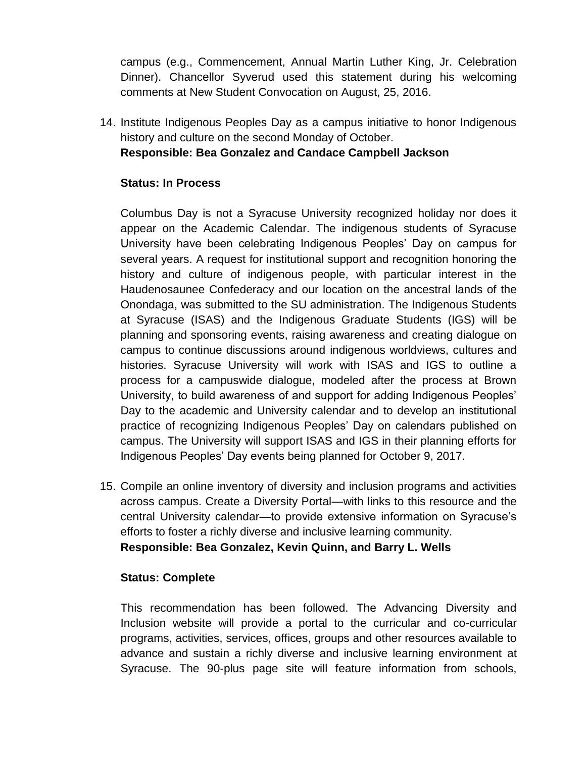campus (e.g., Commencement, Annual Martin Luther King, Jr. Celebration Dinner). Chancellor Syverud used this statement during his welcoming comments at New Student Convocation on August, 25, 2016.

14. Institute Indigenous Peoples Day as a campus initiative to honor Indigenous history and culture on the second Monday of October.

**Responsible: Bea Gonzalez and Candace Campbell Jackson**

## **Status: In Process**

Columbus Day is not a Syracuse University recognized holiday nor does it appear on the Academic Calendar. The indigenous students of Syracuse University have been celebrating Indigenous Peoples' Day on campus for several years. A request for institutional support and recognition honoring the history and culture of indigenous people, with particular interest in the Haudenosaunee Confederacy and our location on the ancestral lands of the Onondaga, was submitted to the SU administration. The Indigenous Students at Syracuse (ISAS) and the Indigenous Graduate Students (IGS) will be planning and sponsoring events, raising awareness and creating dialogue on campus to continue discussions around indigenous worldviews, cultures and histories. Syracuse University will work with ISAS and IGS to outline a process for a campuswide dialogue, modeled after the process at Brown University, to build awareness of and support for adding Indigenous Peoples' Day to the academic and University calendar and to develop an institutional practice of recognizing Indigenous Peoples' Day on calendars published on campus. The University will support ISAS and IGS in their planning efforts for Indigenous Peoples' Day events being planned for October 9, 2017.

15. Compile an online inventory of diversity and inclusion programs and activities across campus. Create a Diversity Portal—with links to this resource and the central University calendar—to provide extensive information on Syracuse's efforts to foster a richly diverse and inclusive learning community. **Responsible: Bea Gonzalez, Kevin Quinn, and Barry L. Wells**

### **Status: Complete**

This recommendation has been followed. The Advancing Diversity and Inclusion website will provide a portal to the curricular and co-curricular programs, activities, services, offices, groups and other resources available to advance and sustain a richly diverse and inclusive learning environment at Syracuse. The 90-plus page site will feature information from schools,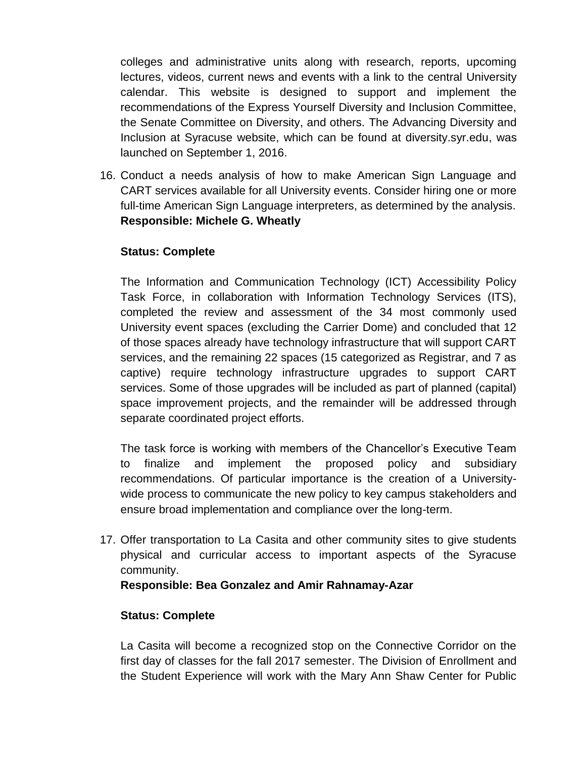colleges and administrative units along with research, reports, upcoming lectures, videos, current news and events with a link to the central University calendar. This website is designed to support and implement the recommendations of the Express Yourself Diversity and Inclusion Committee, the Senate Committee on Diversity, and others. The Advancing Diversity and Inclusion at Syracuse website, which can be found at diversity.syr.edu, was launched on September 1, 2016.

16. Conduct a needs analysis of how to make American Sign Language and CART services available for all University events. Consider hiring one or more full-time American Sign Language interpreters, as determined by the analysis. **Responsible: Michele G. Wheatly**

## **Status: Complete**

The Information and Communication Technology (ICT) Accessibility Policy Task Force, in collaboration with Information Technology Services (ITS), completed the review and assessment of the 34 most commonly used University event spaces (excluding the Carrier Dome) and concluded that 12 of those spaces already have technology infrastructure that will support CART services, and the remaining 22 spaces (15 categorized as Registrar, and 7 as captive) require technology infrastructure upgrades to support CART services. Some of those upgrades will be included as part of planned (capital) space improvement projects, and the remainder will be addressed through separate coordinated project efforts.

The task force is working with members of the Chancellor's Executive Team to finalize and implement the proposed policy and subsidiary recommendations. Of particular importance is the creation of a Universitywide process to communicate the new policy to key campus stakeholders and ensure broad implementation and compliance over the long-term.

17. Offer transportation to La Casita and other community sites to give students physical and curricular access to important aspects of the Syracuse community.

### **Responsible: Bea Gonzalez and Amir Rahnamay-Azar**

### **Status: Complete**

La Casita will become a recognized stop on the Connective Corridor on the first day of classes for the fall 2017 semester. The Division of Enrollment and the Student Experience will work with the Mary Ann Shaw Center for Public